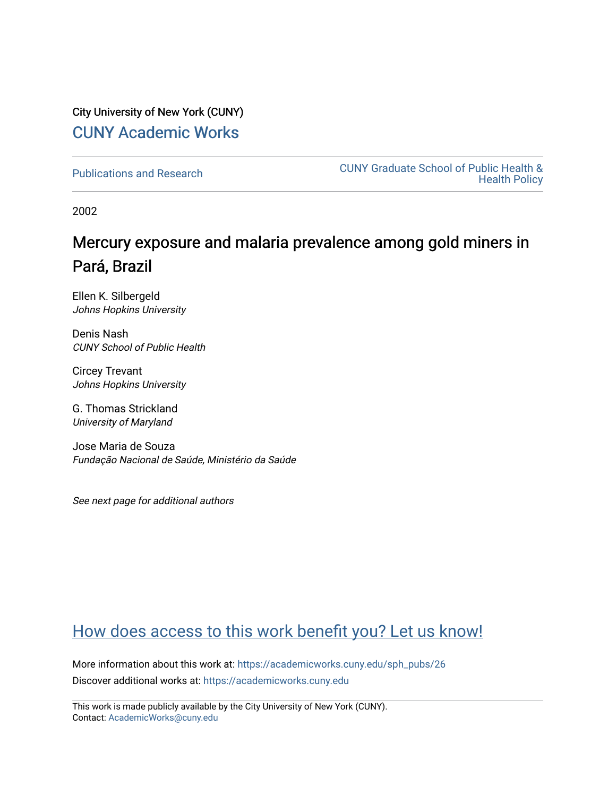### City University of New York (CUNY) [CUNY Academic Works](https://academicworks.cuny.edu/)

[Publications and Research](https://academicworks.cuny.edu/sph_pubs) [CUNY Graduate School of Public Health &](https://academicworks.cuny.edu/sph)  [Health Policy](https://academicworks.cuny.edu/sph) 

2002

# Mercury exposure and malaria prevalence among gold miners in Pará, Brazil

Ellen K. Silbergeld Johns Hopkins University

Denis Nash CUNY School of Public Health

Circey Trevant Johns Hopkins University

G. Thomas Strickland University of Maryland

Jose Maria de Souza Fundação Nacional de Saúde, Ministério da Saúde

See next page for additional authors

## [How does access to this work benefit you? Let us know!](http://ols.cuny.edu/academicworks/?ref=https://academicworks.cuny.edu/sph_pubs/26)

More information about this work at: [https://academicworks.cuny.edu/sph\\_pubs/26](https://academicworks.cuny.edu/sph_pubs/26) Discover additional works at: [https://academicworks.cuny.edu](https://academicworks.cuny.edu/?)

This work is made publicly available by the City University of New York (CUNY). Contact: [AcademicWorks@cuny.edu](mailto:AcademicWorks@cuny.edu)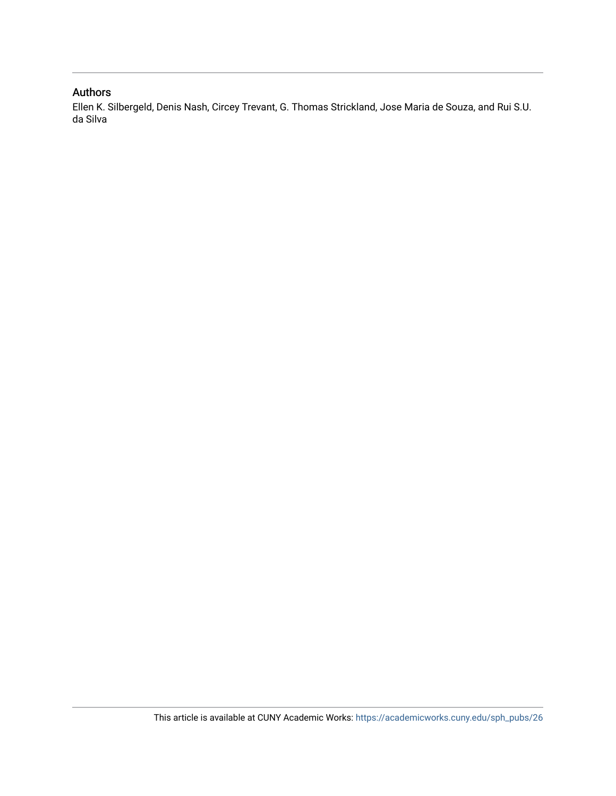#### Authors

Ellen K. Silbergeld, Denis Nash, Circey Trevant, G. Thomas Strickland, Jose Maria de Souza, and Rui S.U. da Silva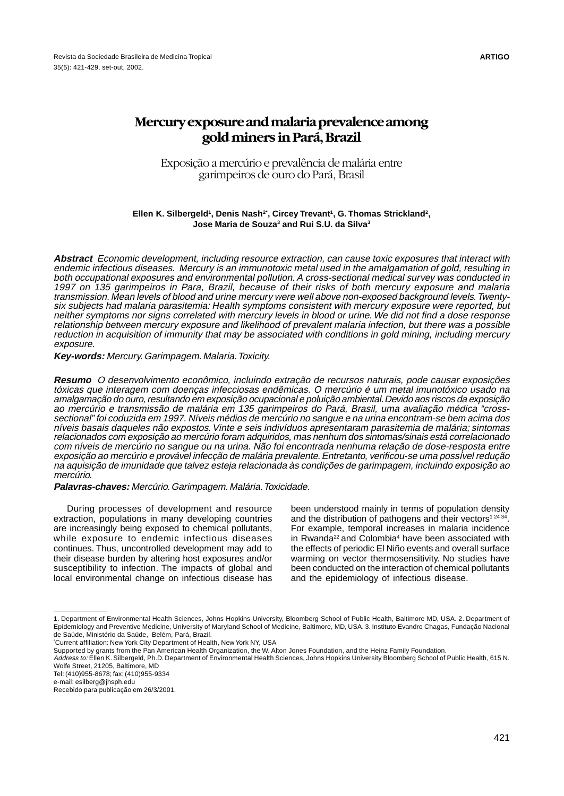### **Mercury exposure and malaria prevalence among gold miners in Pará, Brazil**

Exposição a mercúrio e prevalência de malária entre garimpeiros de ouro do Pará, Brasil

#### Ellen K. Silbergeld<sup>1</sup>, Denis Nash<sup>2</sup>', Circey Trevant<sup>1</sup>, G. Thomas Strickland<sup>2</sup>, **Jose Maria de Souza3 and Rui S.U. da Silva3**

**Abstract** Economic development, including resource extraction, can cause toxic exposures that interact with endemic infectious diseases. Mercury is an immunotoxic metal used in the amalgamation of gold, resulting in both occupational exposures and environmental pollution. A cross-sectional medical survey was conducted in 1997 on 135 garimpeiros in Para, Brazil, because of their risks of both mercury exposure and malaria transmission. Mean levels of blood and urine mercury were well above non-exposed background levels. Twentysix subjects had malaria parasitemia: Health symptoms consistent with mercury exposure were reported, but neither symptoms nor signs correlated with mercury levels in blood or urine. We did not find a dose response relationship between mercury exposure and likelihood of prevalent malaria infection, but there was a possible reduction in acquisition of immunity that may be associated with conditions in gold mining, including mercury exposure.

#### **Key-words:** Mercury. Garimpagem. Malaria. Toxicity.

**Resumo** O desenvolvimento econômico, incluindo extração de recursos naturais, pode causar exposições tóxicas que interagem com doenças infecciosas endêmicas. O mercúrio é um metal imunotóxico usado na amalgamação do ouro, resultando em exposição ocupacional e poluição ambiental. Devido aos riscos da exposição ao mercúrio e transmissão de malária em 135 garimpeiros do Pará, Brasil, uma avaliação médica "crosssectional" foi coduzida em 1997. Níveis médios de mercúrio no sangue e na urina encontram-se bem acima dos níveis basais daqueles não expostos. Vinte e seis indivíduos apresentaram parasitemia de malária; sintomas relacionados com exposição ao mercúrio foram adquiridos, mas nenhum dos sintomas/sinais está correlacionado com níveis de mercúrio no sangue ou na urina. Não foi encontrada nenhuma relação de dose-resposta entre exposição ao mercúrio e provável infecção de malária prevalente. Entretanto, verificou-se uma possível redução na aquisição de imunidade que talvez esteja relacionada às condições de garimpagem, incluindo exposição ao mercúrio.

**Palavras-chaves:** Mercúrio. Garimpagem. Malária. Toxicidade.

During processes of development and resource extraction, populations in many developing countries are increasingly being exposed to chemical pollutants, while exposure to endemic infectious diseases continues. Thus, uncontrolled development may add to their disease burden by altering host exposures and/or susceptibility to infection. The impacts of global and local environmental change on infectious disease has

been understood mainly in terms of population density and the distribution of pathogens and their vectors<sup>12434</sup>. For example, temporal increases in malaria incidence in Rwanda<sup>22</sup> and Colombia<sup>4</sup> have been associated with the effects of periodic El Niño events and overall surface warming on vector thermosensitivity. No studies have been conducted on the interaction of chemical pollutants and the epidemiology of infectious disease.

<sup>1.</sup> Department of Environmental Health Sciences, Johns Hopkins University, Bloomberg School of Public Health, Baltimore MD, USA. 2. Department of Epidemiology and Preventive Medicine, University of Maryland School of Medicine, Baltimore, MD, USA. 3. Instituto Evandro Chagas, Fundação Nacional de Saúde, Ministério da Saúde, Belém, Pará, Brazil.

<sup>\*</sup> Current affiliation: New York City Department of Health, New York NY, USA

Supported by grants from the Pan American Health Organization, the W. Alton Jones Foundation, and the Heinz Family Foundation.

Address to: Ellen K. Silbergeld, Ph.D. Department of Environmental Health Sciences, Johns Hopkins University Bloomberg School of Public Health, 615 N. Wolfe Street, 21205, Baltimore, MD

Tel: (410)955-8678; fax; (410)955-9334

e-mail: esilberg@jhsph.edu

Recebido para publicação em 26/3/2001.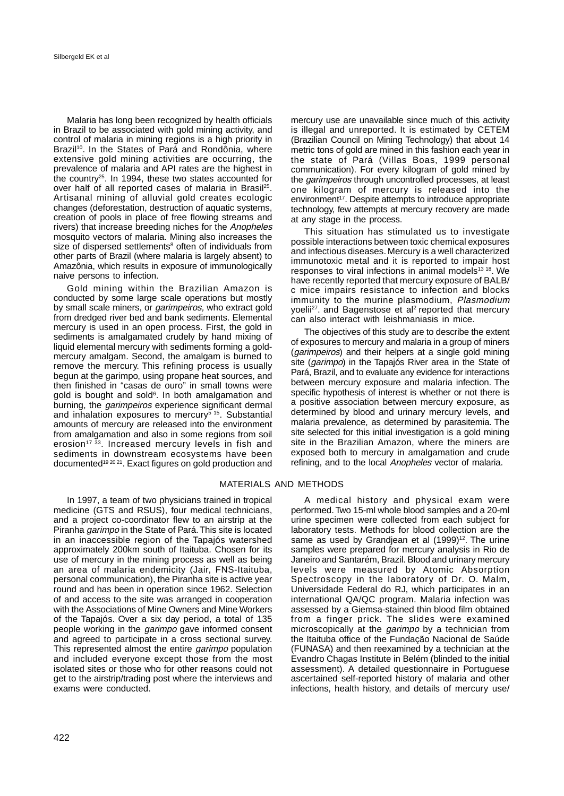Malaria has long been recognized by health officials in Brazil to be associated with gold mining activity, and control of malaria in mining regions is a high priority in Brazil<sup>10</sup>. In the States of Pará and Rondônia, where extensive gold mining activities are occurring, the prevalence of malaria and API rates are the highest in the country<sup>25</sup>. In 1994, these two states accounted for over half of all reported cases of malaria in Brasil<sup>25</sup>. Artisanal mining of alluvial gold creates ecologic changes (deforestation, destruction of aquatic systems, creation of pools in place of free flowing streams and rivers) that increase breeding niches for the Anopheles mosquito vectors of malaria. Mining also increases the size of dispersed settlements<sup>8</sup> often of individuals from other parts of Brazil (where malaria is largely absent) to Amazônia, which results in exposure of immunologically naive persons to infection.

Gold mining within the Brazilian Amazon is conducted by some large scale operations but mostly by small scale miners, or *garimpeiros*, who extract gold from dredged river bed and bank sediments. Elemental mercury is used in an open process. First, the gold in sediments is amalgamated crudely by hand mixing of liquid elemental mercury with sediments forming a goldmercury amalgam. Second, the amalgam is burned to remove the mercury. This refining process is usually begun at the garimpo, using propane heat sources, and then finished in "casas de ouro" in small towns were gold is bought and sold<sup>6</sup>. In both amalgamation and burning, the *garimpeiros* experience significant dermal and inhalation exposures to mercury<sup>5 15</sup>. Substantial amounts of mercury are released into the environment from amalgamation and also in some regions from soil erosion<sup>17  $\bar{3}3$ </sup>. Increased mercury levels in fish and sediments in downstream ecosystems have been documented<sup>19 20 21</sup>. Exact figures on gold production and

mercury use are unavailable since much of this activity is illegal and unreported. It is estimated by CETEM (Brazilian Council on Mining Technology) that about 14 metric tons of gold are mined in this fashion each year in the state of Pará (Villas Boas, 1999 personal communication). For every kilogram of gold mined by the *garimpeiros* through uncontrolled processes, at least one kilogram of mercury is released into the environment<sup>17</sup>. Despite attempts to introduce appropriate technology, few attempts at mercury recovery are made at any stage in the process.

This situation has stimulated us to investigate possible interactions between toxic chemical exposures and infectious diseases. Mercury is a well characterized immunotoxic metal and it is reported to impair host responses to viral infections in animal models<sup>13 18</sup>. We have recently reported that mercury exposure of BALB/ c mice impairs resistance to infection and blocks immunity to the murine plasmodium, Plasmodium yoelii<sup>27</sup>. and Bagenstose et al<sup>2</sup> reported that mercury can also interact with leishmaniasis in mice.

The objectives of this study are to describe the extent of exposures to mercury and malaria in a group of miners (*garimpeiros*) and their helpers at a single gold mining site (*garimpo*) in the Tapajós River area in the State of Pará, Brazil, and to evaluate any evidence for interactions between mercury exposure and malaria infection. The specific hypothesis of interest is whether or not there is a positive association between mercury exposure, as determined by blood and urinary mercury levels, and malaria prevalence, as determined by parasitemia. The site selected for this initial investigation is a gold mining site in the Brazilian Amazon, where the miners are exposed both to mercury in amalgamation and crude refining, and to the local Anopheles vector of malaria.

#### MATERIALS AND METHODS

In 1997, a team of two physicians trained in tropical medicine (GTS and RSUS), four medical technicians, and a project co-coordinator flew to an airstrip at the Piranha garimpo in the State of Pará. This site is located in an inaccessible region of the Tapajós watershed approximately 200km south of Itaituba. Chosen for its use of mercury in the mining process as well as being an area of malaria endemicity (Jair, FNS-Itaituba, personal communication), the Piranha site is active year round and has been in operation since 1962. Selection of and access to the site was arranged in cooperation with the Associations of Mine Owners and Mine Workers of the Tapajós. Over a six day period, a total of 135 people working in the garimpo gave informed consent and agreed to participate in a cross sectional survey. This represented almost the entire *garimpo* population and included everyone except those from the most isolated sites or those who for other reasons could not get to the airstrip/trading post where the interviews and exams were conducted.

A medical history and physical exam were performed. Two 15-ml whole blood samples and a 20-ml urine specimen were collected from each subject for laboratory tests. Methods for blood collection are the same as used by Grandjean et al  $(1999)^{12}$ . The urine samples were prepared for mercury analysis in Rio de Janeiro and Santarém, Brazil. Blood and urinary mercury levels were measured by Atomic Absorption Spectroscopy in the laboratory of Dr. O. Malm, Universidade Federal do RJ, which participates in an international QA/QC program. Malaria infection was assessed by a Giemsa-stained thin blood film obtained from a finger prick. The slides were examined microscopically at the garimpo by a technician from the Itaituba office of the Fundação Nacional de Saúde (FUNASA) and then reexamined by a technician at the Evandro Chagas Institute in Belém (blinded to the initial assessment). A detailed questionnaire in Portuguese ascertained self-reported history of malaria and other infections, health history, and details of mercury use/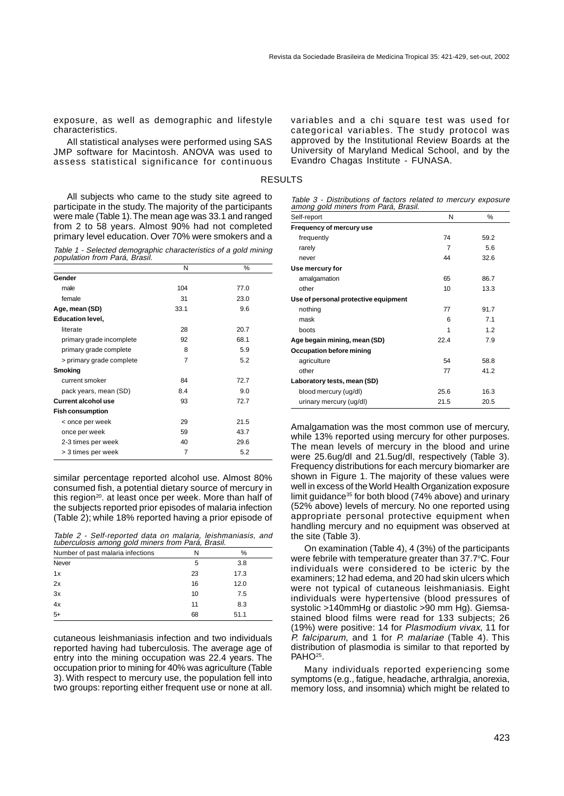exposure, as well as demographic and lifestyle characteristics.

All statistical analyses were performed using SAS JMP software for Macintosh. ANOVA was used to assess statistical significance for continuous variables and a chi square test was used for categorical variables. The study protocol was approved by the Institutional Review Boards at the University of Maryland Medical School, and by the Evandro Chagas Institute - FUNASA.

RESULTS

All subjects who came to the study site agreed to participate in the study. The majority of the participants were male (Table 1). The mean age was 33.1 and ranged from 2 to 58 years. Almost 90% had not completed primary level education. Over 70% were smokers and a

Table 1 - Selected demographic characteristics of a gold mining population from Pará, Brasil.

|                            | N    | %    |
|----------------------------|------|------|
| Gender                     |      |      |
| male                       | 104  | 77.0 |
| female                     | 31   | 23.0 |
| Age, mean (SD)             | 33.1 | 9.6  |
| <b>Education level,</b>    |      |      |
| literate                   | 28   | 20.7 |
| primary grade incomplete   | 92   | 68.1 |
| primary grade complete     | 8    | 5.9  |
| > primary grade complete   | 7    | 5.2  |
| <b>Smoking</b>             |      |      |
| current smoker             | 84   | 72.7 |
| pack years, mean (SD)      | 8.4  | 9.0  |
| <b>Current alcohol use</b> | 93   | 72.7 |
| <b>Fish consumption</b>    |      |      |
| < once per week            | 29   | 21.5 |
| once per week              | 59   | 43.7 |
| 2-3 times per week         | 40   | 29.6 |
| > 3 times per week         | 7    | 5.2  |

similar percentage reported alcohol use. Almost 80% consumed fish, a potential dietary source of mercury in this region $20$ . at least once per week. More than half of the subjects reported prior episodes of malaria infection (Table 2); while 18% reported having a prior episode of

Table 2 - Self-reported data on malaria, leishmaniasis, and tuberculosis among gold miners from Pará, Brasil.

| Number of past malaria infections | N  | %    |
|-----------------------------------|----|------|
| Never                             | 5  | 3.8  |
| 1x                                | 23 | 17.3 |
| 2x                                | 16 | 12.0 |
| 3x                                | 10 | 7.5  |
| 4x                                | 11 | 8.3  |
| $5+$                              | 68 | 51.1 |

cutaneous leishmaniasis infection and two individuals reported having had tuberculosis. The average age of entry into the mining occupation was 22.4 years. The occupation prior to mining for 40% was agriculture (Table 3). With respect to mercury use, the population fell into two groups: reporting either frequent use or none at all.

| Table 3 - Distributions of factors related to mercury exposure |  |  |  |
|----------------------------------------------------------------|--|--|--|
| among gold miners from Pará, Brasil.                           |  |  |  |
|                                                                |  |  |  |

| Self-report                          | N    | %    |
|--------------------------------------|------|------|
| Frequency of mercury use             |      |      |
| frequently                           | 74   | 59.2 |
| rarely                               | 7    | 5.6  |
| never                                | 44   | 32.6 |
| Use mercury for                      |      |      |
| amalgamation                         | 65   | 86.7 |
| other                                | 10   | 13.3 |
| Use of personal protective equipment |      |      |
| nothing                              | 77   | 91.7 |
| mask                                 | 6    | 7.1  |
| boots                                | 1    | 1.2  |
| Age begain mining, mean (SD)         | 22.4 | 7.9  |
| Occupation before mining             |      |      |
| agriculture                          | 54   | 58.8 |
| other                                | 77   | 41.2 |
| Laboratory tests, mean (SD)          |      |      |
| blood mercury (ug/dl)                | 25.6 | 16.3 |
| urinary mercury (ug/dl)              | 21.5 | 20.5 |

Amalgamation was the most common use of mercury, while 13% reported using mercury for other purposes. The mean levels of mercury in the blood and urine were 25.6ug/dl and 21.5ug/dl, respectively (Table 3). Frequency distributions for each mercury biomarker are shown in Figure 1. The majority of these values were well in excess of the World Health Organization exposure limit guidance<sup>35</sup> for both blood (74% above) and urinary (52% above) levels of mercury. No one reported using appropriate personal protective equipment when handling mercury and no equipment was observed at the site (Table 3).

On examination (Table 4), 4 (3%) of the participants were febrile with temperature greater than 37.7°C. Four individuals were considered to be icteric by the examiners; 12 had edema, and 20 had skin ulcers which were not typical of cutaneous leishmaniasis. Eight individuals were hypertensive (blood pressures of systolic >140mmHg or diastolic >90 mm Hg). Giemsastained blood films were read for 133 subjects; 26 (19%) were positive: 14 for Plasmodium vivax, 11 for P. falciparum, and 1 for P. malariae (Table 4). This distribution of plasmodia is similar to that reported by PAHO<sup>25</sup>.

Many individuals reported experiencing some symptoms (e.g., fatigue, headache, arthralgia, anorexia, memory loss, and insomnia) which might be related to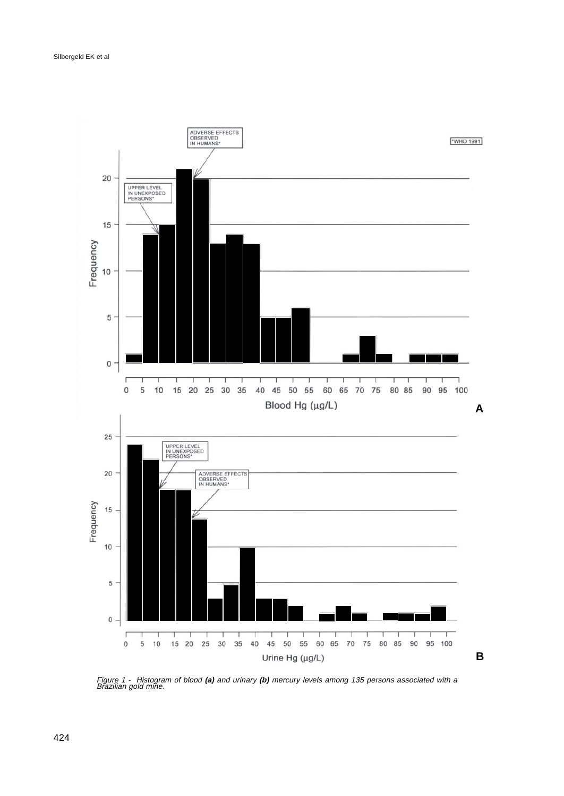

Figure 1 - Histogram of blood **(a)** and urinary **(b)** mercury levels among 135 persons associated with a<br>Brazilian gold mine.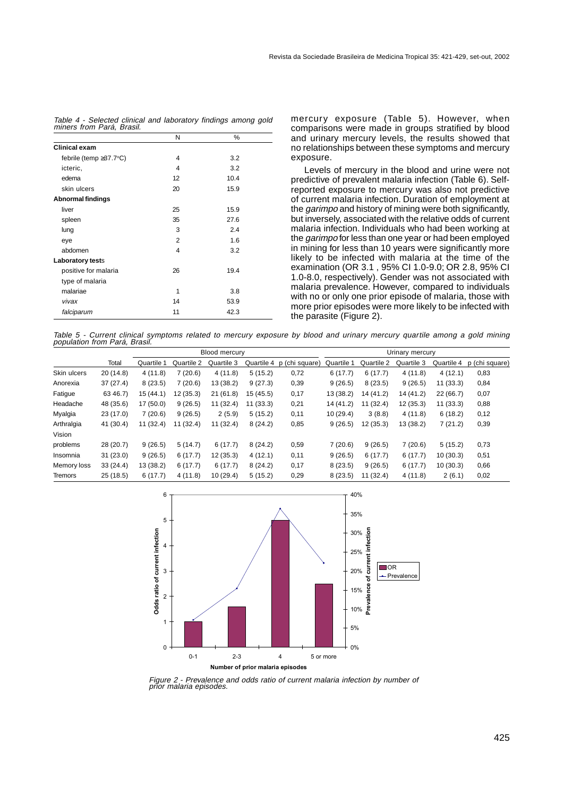|                          | N              | ℅    |
|--------------------------|----------------|------|
| <b>Clinical exam</b>     |                |      |
| febrile (temp ≥37.7°C)   | 4              | 3.2  |
| icteric,                 | 4              | 3.2  |
| edema                    | 12             | 10.4 |
| skin ulcers              | 20             | 15.9 |
| <b>Abnormal findings</b> |                |      |
| liver                    | 25             | 15.9 |
| spleen                   | 35             | 27.6 |
| lung                     | 3              | 2.4  |
| eye                      | $\overline{2}$ | 1.6  |
| abdomen                  | 4              | 3.2  |
| Laboratory tests         |                |      |
| positive for malaria     | 26             | 19.4 |
| type of malaria          |                |      |
| malariae                 | 1              | 3.8  |
| vivax                    | 14             | 53.9 |
| falciparum               | 11             | 42.3 |

Table 4 - Selected clinical and laboratory findings among gold miners from Pará, Brasil.

mercury exposure (Table 5). However, when comparisons were made in groups stratified by blood and urinary mercury levels, the results showed that no relationships between these symptoms and mercury exposure.

Levels of mercury in the blood and urine were not predictive of prevalent malaria infection (Table 6). Selfreported exposure to mercury was also not predictive of current malaria infection. Duration of employment at the *garimpo* and history of mining were both significantly, but inversely, associated with the relative odds of current malaria infection. Individuals who had been working at the *garimpo* for less than one year or had been employed in mining for less than 10 years were significantly more likely to be infected with malaria at the time of the examination (OR 3.1 , 95% CI 1.0-9.0; OR 2.8, 95% CI 1.0-8.0, respectively). Gender was not associated with malaria prevalence. However, compared to individuals with no or only one prior episode of malaria, those with more prior episodes were more likely to be infected with the parasite (Figure 2).

Table 5 - Current clinical symptoms related to mercury exposure by blood and urinary mercury quartile among a gold mining population from Pará, Brasil.

|                |           |            |              | Blood mercury |            |                |                       |            | Urinary mercury |            |                |
|----------------|-----------|------------|--------------|---------------|------------|----------------|-----------------------|------------|-----------------|------------|----------------|
|                | Total     | Quartile 1 | Quartile 2   | Quartile 3    | Quartile 4 | p (chi square) | Quartile <sup>1</sup> | Quartile 2 | Quartile 3      | Quartile 4 | p (chi square) |
| Skin ulcers    | 20(14.8)  | 4(11.8)    | 7(20.6)      | 4(11.8)       | 5(15.2)    | 0,72           | 6(17.7)               | 6(17.7)    | 4(11.8)         | 4(12.1)    | 0,83           |
| Anorexia       | 37(27.4)  | 8(23.5)    | 7(20.6)      | 13 (38.2)     | 9(27.3)    | 0,39           | 9(26.5)               | 8(23.5)    | 9(26.5)         | 11(33.3)   | 0,84           |
| Fatique        | 63 46.7)  | 15 (44.1)  | 12(35.3)     | 21(61.8)      | 15 (45.5)  | 0,17           | 13 (38.2)             | 14 (41.2)  | 14 (41.2)       | 22(66.7)   | 0,07           |
| Headache       | 48 (35.6) | 17(50.0)   | 9(26.5)      | 11(32.4)      | 11 (33.3)  | 0,21           | 14(41.2)              | 11 (32.4)  | 12(35.3)        | 11(33.3)   | 0,88           |
| Myalgia        | 23(17.0)  | 7(20.6)    | 9(26.5)      | 2(5.9)        | 5(15.2)    | 0,11           | 10(29.4)              | 3(8.8)     | 4(11.8)         | 6(18.2)    | 0,12           |
| Arthralgia     | 41 (30.4) | 11(32.4)   | (32.4)<br>11 | 11(32.4)      | 8(24.2)    | 0,85           | 9(26.5)               | 12 (35.3)  | 13(38.2)        | 7(21.2)    | 0,39           |
| Vision         |           |            |              |               |            |                |                       |            |                 |            |                |
| problems       | 28(20.7)  | 9(26.5)    | 5(14.7)      | 6(17.7)       | 8(24.2)    | 0,59           | 7(20.6)               | 9(26.5)    | 7(20.6)         | 5(15.2)    | 0,73           |
| Insomnia       | 31(23.0)  | 9(26.5)    | 6(17.7)      | 12 (35.3)     | 4(12.1)    | 0,11           | 9(26.5)               | 6(17.7)    | 6(17.7)         | 10(30.3)   | 0,51           |
| Memory loss    | 33(24.4)  | 13 (38.2)  | 6(17.7)      | 6(17.7)       | 8(24.2)    | 0,17           | 8(23.5)               | 9(26.5)    | 6(17.7)         | 10(30.3)   | 0,66           |
| <b>Tremors</b> | 25(18.5)  | 6(17.7)    | 4(11.8)      | 10(29.4)      | 5(15.2)    | 0,29           | 8(23.5)               | 11 (32.4)  | 4(11.8)         | 2(6.1)     | 0,02           |



Figure 2 - Prevalence and odds ratio of current malaria infection by number of prior malaria episodes.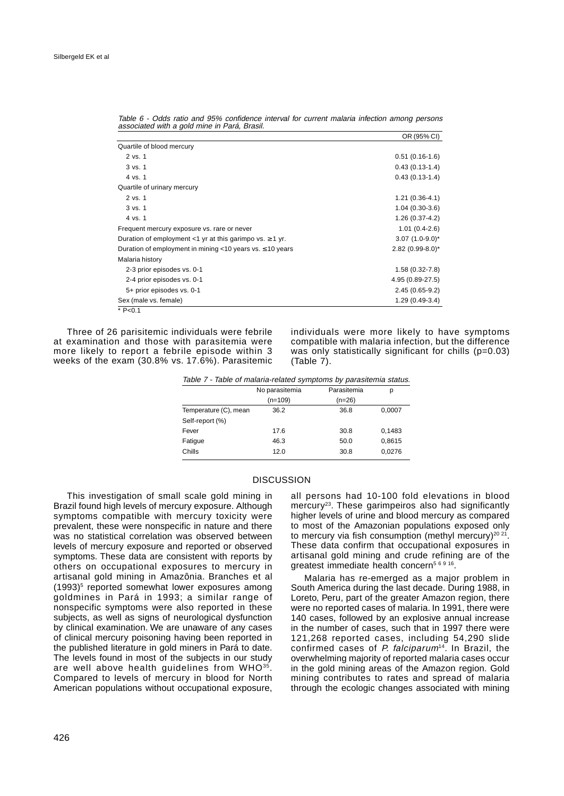|                                                                | OR (95% CI)         |
|----------------------------------------------------------------|---------------------|
| Quartile of blood mercury                                      |                     |
| 2 vs. 1                                                        | $0.51(0.16-1.6)$    |
| 3 vs. 1                                                        | $0.43(0.13-1.4)$    |
| 4 vs. 1                                                        | $0.43(0.13-1.4)$    |
| Quartile of urinary mercury                                    |                     |
| 2 vs. 1                                                        | $1.21(0.36-4.1)$    |
| 3 vs. 1                                                        | $1.04(0.30-3.6)$    |
| 4 vs. 1                                                        | $1.26(0.37-4.2)$    |
| Frequent mercury exposure vs. rare or never                    | $1.01(0.4-2.6)$     |
| Duration of employment <1 yr at this garimpo vs. $\geq$ 1 yr.  | $3.07(1.0-9.0)^{*}$ |
| Duration of employment in mining <10 years vs. $\leq$ 10 years | $2.82(0.99-8.0)$ *  |
| Malaria history                                                |                     |
| 2-3 prior episodes vs. 0-1                                     | $1.58(0.32 - 7.8)$  |
| 2-4 prior episodes vs. 0-1                                     | 4.95 (0.89-27.5)    |
| 5+ prior episodes vs. 0-1                                      | $2.45(0.65-9.2)$    |
| Sex (male vs. female)                                          | $1.29(0.49-3.4)$    |
| * $P < 0.1$                                                    |                     |

Table 6 - Odds ratio and 95% confidence interval for current malaria infection among persons associated with a gold mine in Pará, Brasil.

Three of 26 parisitemic individuals were febrile at examination and those with parasitemia were more likely to report a febrile episode within 3 weeks of the exam (30.8% vs. 17.6%). Parasitemic individuals were more likely to have symptoms compatible with malaria infection, but the difference was only statistically significant for chills (p=0.03) (Table 7).

|                       | No parasitemia | Parasitemia | р      |
|-----------------------|----------------|-------------|--------|
|                       | $(n=109)$      | $(n=26)$    |        |
| Temperature (C), mean | 36.2           | 36.8        | 0,0007 |
| Self-report (%)       |                |             |        |
| Fever                 | 17.6           | 30.8        | 0,1483 |
| Fatigue               | 46.3           | 50.0        | 0,8615 |
| Chills                | 12.0           | 30.8        | 0,0276 |

#### **DISCUSSION**

This investigation of small scale gold mining in Brazil found high levels of mercury exposure. Although symptoms compatible with mercury toxicity were prevalent, these were nonspecific in nature and there was no statistical correlation was observed between levels of mercury exposure and reported or observed symptoms. These data are consistent with reports by others on occupational exposures to mercury in artisanal gold mining in Amazônia. Branches et al  $(1993)^5$  reported somewhat lower exposures among goldmines in Pará in 1993; a similar range of nonspecific symptoms were also reported in these subjects, as well as signs of neurological dysfunction by clinical examination. We are unaware of any cases of clinical mercury poisoning having been reported in the published literature in gold miners in Pará to date. The levels found in most of the subjects in our study are well above health quidelines from WHO<sup>35</sup>. Compared to levels of mercury in blood for North American populations without occupational exposure,

all persons had 10-100 fold elevations in blood mercury<sup>23</sup>. These garimpeiros also had significantly higher levels of urine and blood mercury as compared to most of the Amazonian populations exposed only to mercury via fish consumption (methyl mercury)<sup>20 21</sup>. These data confirm that occupational exposures in artisanal gold mining and crude refining are of the greatest immediate health concern<sup>5 6 9 16</sup>.

Malaria has re-emerged as a major problem in South America during the last decade. During 1988, in Loreto, Peru, part of the greater Amazon region, there were no reported cases of malaria. In 1991, there were 140 cases, followed by an explosive annual increase in the number of cases, such that in 1997 there were 121,268 reported cases, including 54,290 slide confirmed cases of  $P$ . falciparum<sup>14</sup>. In Brazil, the overwhelming majority of reported malaria cases occur in the gold mining areas of the Amazon region. Gold mining contributes to rates and spread of malaria through the ecologic changes associated with mining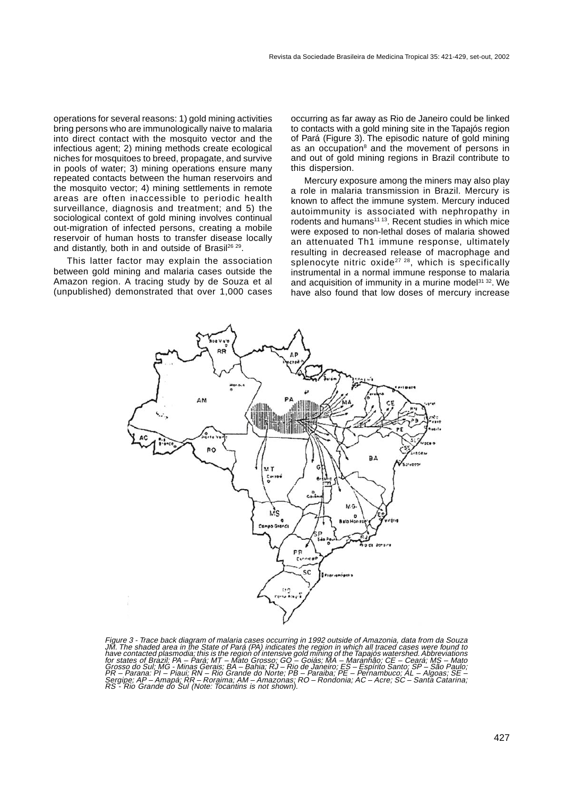operations for several reasons: 1) gold mining activities bring persons who are immunologically naive to malaria into direct contact with the mosquito vector and the infectious agent; 2) mining methods create ecological niches for mosquitoes to breed, propagate, and survive in pools of water; 3) mining operations ensure many repeated contacts between the human reservoirs and the mosquito vector; 4) mining settlements in remote areas are often inaccessible to periodic health surveillance, diagnosis and treatment; and 5) the sociological context of gold mining involves continual out-migration of infected persons, creating a mobile reservoir of human hosts to transfer disease locally and distantly, both in and outside of Brasil<sup>26 29</sup>.

This latter factor may explain the association between gold mining and malaria cases outside the Amazon region. A tracing study by de Souza et al (unpublished) demonstrated that over 1,000 cases

occurring as far away as Rio de Janeiro could be linked to contacts with a gold mining site in the Tapajós region of Pará (Figure 3). The episodic nature of gold mining as an occupation<sup>8</sup> and the movement of persons in and out of gold mining regions in Brazil contribute to this dispersion.

Mercury exposure among the miners may also play a role in malaria transmission in Brazil. Mercury is known to affect the immune system. Mercury induced autoimmunity is associated with nephropathy in rodents and humans<sup>11 13</sup>. Recent studies in which mice were exposed to non-lethal doses of malaria showed an attenuated Th1 immune response, ultimately resulting in decreased release of macrophage and splenocyte nitric oxide<sup>27</sup><sup>28</sup>, which is specifically instrumental in a normal immune response to malaria and acquisition of immunity in a murine model<sup>31 32</sup>. We have also found that low doses of mercury increase



Figure 3 - Trace back diagram of malaria cases occurring in 1992 outside of Amazonia, data from da Souza<br>JM. The shaded area in the State of Pará (PA) indicates the region in which all traced cases were found to<br>have conta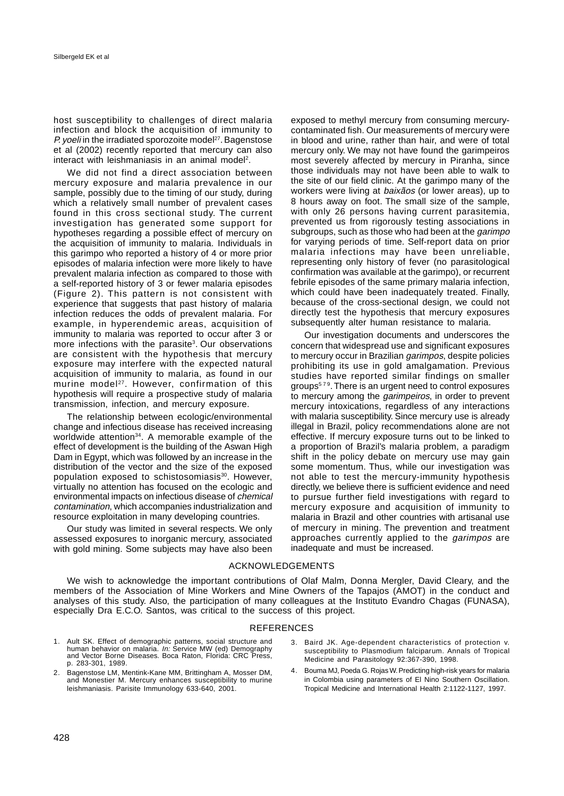host susceptibility to challenges of direct malaria infection and block the acquisition of immunity to P. yoeli in the irradiated sporozoite model<sup>27</sup>. Bagenstose et al (2002) recently reported that mercury can also interact with leishmaniasis in an animal model<sup>2</sup>.

We did not find a direct association between mercury exposure and malaria prevalence in our sample, possibly due to the timing of our study, during which a relatively small number of prevalent cases found in this cross sectional study. The current investigation has generated some support for hypotheses regarding a possible effect of mercury on the acquisition of immunity to malaria. Individuals in this garimpo who reported a history of 4 or more prior episodes of malaria infection were more likely to have prevalent malaria infection as compared to those with a self-reported history of 3 or fewer malaria episodes (Figure 2). This pattern is not consistent with experience that suggests that past history of malaria infection reduces the odds of prevalent malaria. For example, in hyperendemic areas, acquisition of immunity to malaria was reported to occur after 3 or more infections with the parasite<sup>3</sup>. Our observations are consistent with the hypothesis that mercury exposure may interfere with the expected natural acquisition of immunity to malaria, as found in our murine model<sup>27</sup>. However, confirmation of this hypothesis will require a prospective study of malaria transmission, infection, and mercury exposure.

The relationship between ecologic/environmental change and infectious disease has received increasing worldwide attention<sup>34</sup>. A memorable example of the effect of development is the building of the Aswan High Dam in Egypt, which was followed by an increase in the distribution of the vector and the size of the exposed population exposed to schistosomiasis<sup>30</sup>. However, virtually no attention has focused on the ecologic and environmental impacts on infectious disease of chemical contamination, which accompanies industrialization and resource exploitation in many developing countries.

Our study was limited in several respects. We only assessed exposures to inorganic mercury, associated with gold mining. Some subjects may have also been

exposed to methyl mercury from consuming mercurycontaminated fish. Our measurements of mercury were in blood and urine, rather than hair, and were of total mercury only. We may not have found the garimpeiros most severely affected by mercury in Piranha, since those individuals may not have been able to walk to the site of our field clinic. At the garimpo many of the workers were living at baixãos (or lower areas), up to 8 hours away on foot. The small size of the sample, with only 26 persons having current parasitemia, prevented us from rigorously testing associations in subgroups, such as those who had been at the *garimpo* for varying periods of time. Self-report data on prior malaria infections may have been unreliable, representing only history of fever (no parasitological confirmation was available at the garimpo), or recurrent febrile episodes of the same primary malaria infection, which could have been inadequately treated. Finally, because of the cross-sectional design, we could not directly test the hypothesis that mercury exposures subsequently alter human resistance to malaria.

Our investigation documents and underscores the concern that widespread use and significant exposures to mercury occur in Brazilian *garimpos*, despite policies prohibiting its use in gold amalgamation. Previous studies have reported similar findings on smaller groups<sup>579</sup>. There is an urgent need to control exposures to mercury among the garimpeiros, in order to prevent mercury intoxications, regardless of any interactions with malaria susceptibility. Since mercury use is already illegal in Brazil, policy recommendations alone are not effective. If mercury exposure turns out to be linked to a proportion of Brazil's malaria problem, a paradigm shift in the policy debate on mercury use may gain some momentum. Thus, while our investigation was not able to test the mercury-immunity hypothesis directly, we believe there is sufficient evidence and need to pursue further field investigations with regard to mercury exposure and acquisition of immunity to malaria in Brazil and other countries with artisanal use of mercury in mining. The prevention and treatment approaches currently applied to the garimpos are inadequate and must be increased.

#### ACKNOWLEDGEMENTS

We wish to acknowledge the important contributions of Olaf Malm, Donna Mergler, David Cleary, and the members of the Association of Mine Workers and Mine Owners of the Tapajos (AMOT) in the conduct and analyses of this study. Also, the participation of many colleagues at the Instituto Evandro Chagas (FUNASA), especially Dra E.C.O. Santos, was critical to the success of this project.

#### **REFERENCES**

- 1. Ault SK. Effect of demographic patterns, social structure and human behavior on malaria. In: Service MW (ed) Demography and Vector Borne Diseases. Boca Raton, Florida: CRC Press, p. 283-301, 1989.
- 2. Bagenstose LM, Mentink-Kane MM, Brittingham A, Mosser DM, and Monestier M. Mercury enhances susceptibility to murine leishmaniasis. Parisite Immunology 633-640, 2001.
- 3. Baird JK. Age-dependent characteristics of protection v. susceptibility to Plasmodium falciparum. Annals of Tropical Medicine and Parasitology 92:367-390, 1998.
- 4. Bouma MJ, Poeda G. Rojas W. Predicting high-risk years for malaria in Colombia using parameters of El Nino Southern Oscillation. Tropical Medicine and International Health 2:1122-1127, 1997.